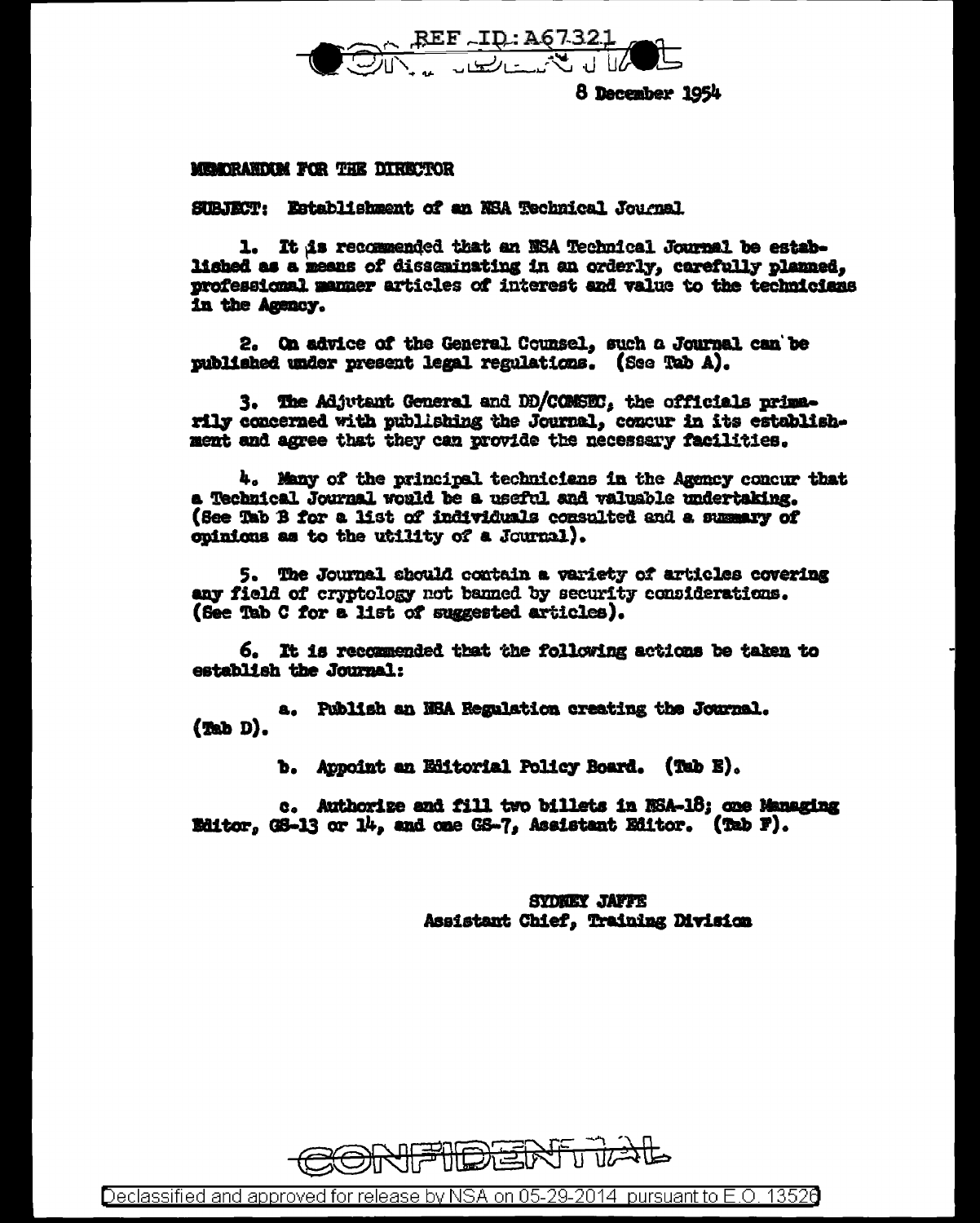

8 December 1954

# MEMORANDISM FOR THE DIRECTOR

SUBJECT: Establishment of an NSA Technical Journal

1. It is recommended that an NSA Technical Journal be established as a means of disseminating in an orderly, carefully planned. professional manner articles of interest and value to the technicians in the Agency.

2. On advice of the General Counsel, such a Journal can be mublished under present legal regulations. (See Tab A).

3. The Adjutant General and DD/COMSEC, the officials primarily concerned with publishing the Journal. concur in its establishment and agree that they can provide the necessary facilities.

4. Many of the principal technicians in the Agency concur that a Technical Journal would be a useful and valuable undertaking. (See Tab B for a list of individuals consulted and a summary of coinions as to the utility of a Journal).

5. The Journal should contain a variety of articles covering any field of cryptology not banned by security considerations. (See Tab C for a list of suggested articles).

6. It is recommended that the following actions be taken to establish the Journal:

a. Publish an NRA Regulation creating the Journal.  $(m_b D)$ .

b. Appoint an Editorial Policy Board. (Tab E).

c. Authorize and fill two billets in NSA-18; one Managing Editor, GS-13 or 14, and one GS-7, Assistant Editor. (Tab F).

> **SYDNEY JAFFE** Assistant Chief, Training Division



Declassified and approved for release by NSA on 05-29-2014 pursuant to E.O. 13526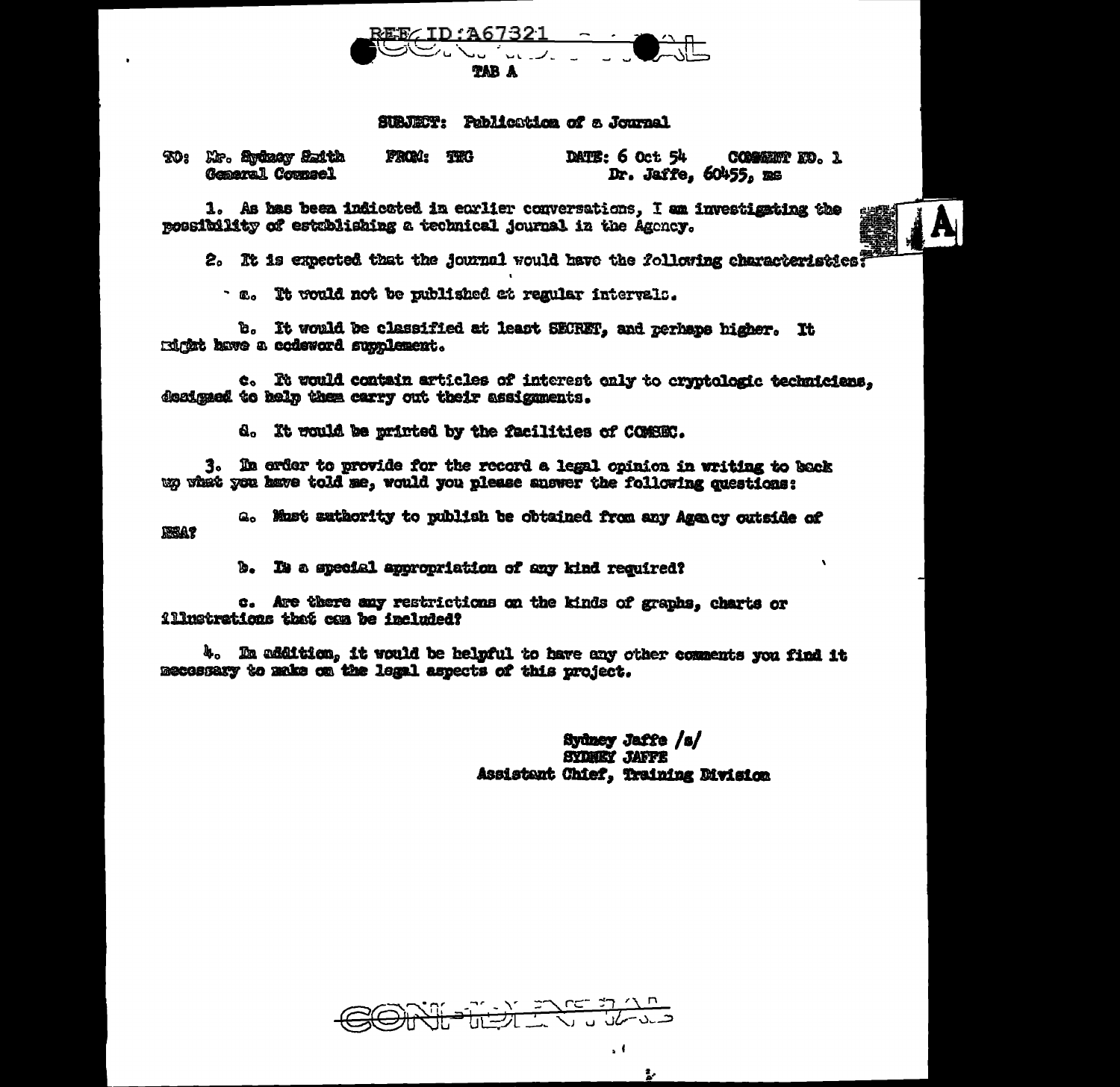

# SUBJET: Publication of a Journal

TO: Mr. 200207 Saith **FROM: THG** DATE: 6 Oct 54 COMMENT KO. 1 General Counsel Dr. Jaffe. 60455. ms

1. As has been indicated in earlier conversations, I am investigating the possibility of establishing a technical journal in the Agency.

2. It is expected that the journal would have the following characteristics

· a. It would not be published at regular intervals.

b. It would be classified at least SECRET, and zerhans higher. It rdråt have a codeword supplement.

c. It would contain articles of interest only to cryptologic technicians. designed to help them carry out their assignments.

d. It would be printed by the facilities of COMSEC.

3. In order to provide for the record a legal opinion in writing to back up what you have told me, would you please answer the following questions:

a. Must suthority to publish be obtained from any Agency outside of **REA?** 

b. It a special appropriation of any kind required?

c. Are there any restrictions on the kinds of graphs, charts or illustrations that can be included?

4. In addition, it would be helpful to have any other comments you find it mecossary to make on the legal aspects of this project.

> Sydney Jaffe /s/ **SYDNEY JAFFE** Assistant Chief, Training Division

 $\overline{\mathbf{r}}$ 



 $\mathcal{A}$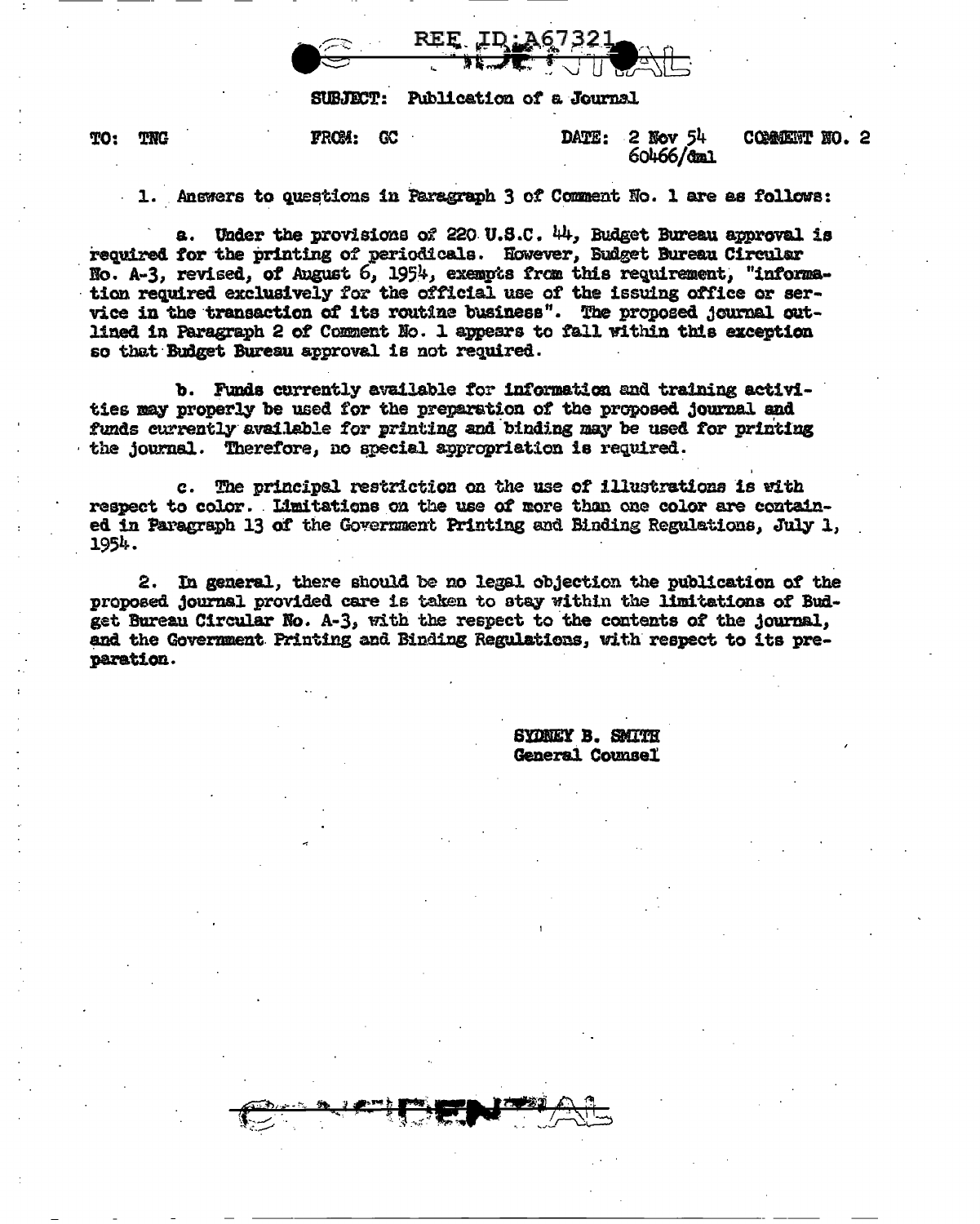

Publication of a Journal **SUBJECT:** 

FROM: GC

TO: TNG DATE:  $2$  Nov  $54$ COMMENT NO. 2 60466/dml

1. Anewers to questions in Paragraph 3 of Comment No. 1 are as follows:

a. Under the provisions of 220 U.S.C.  $44$ , Budget Bureau approval is required for the printing of periodicals. However, Budget Bureau Circular No. A-3, revised, of August 6, 1954, exempts from this requirement, "information required exclusively for the official use of the issuing office or service in the transaction of its routine business". The proposed journal outlined in Paragraph 2 of Comment No. 1 appears to fall within this exception so that Budget Bureau approval is not required.

b. Funds currently available for information and training activities may properly be used for the preparation of the proposed journal and funds currently available for printing and binding may be used for printing the journal. Therefore, no special appropriation is required.

c. The principal restriction on the use of illustrations is with respect to color. Limitations on the use of more than one color are contained in Paragraph 13 of the Government Printing and Binding Regulations, July 1, 1954.

2. In general, there should be no legal objection the publication of the proposed journal provided care is taken to stay within the limitations of Budget Bureau Circular No. A-3, with the respect to the contents of the journal, and the Government Printing and Binding Regulations, with respect to its preparation.

> SYDNEY B. SMITH General Counsel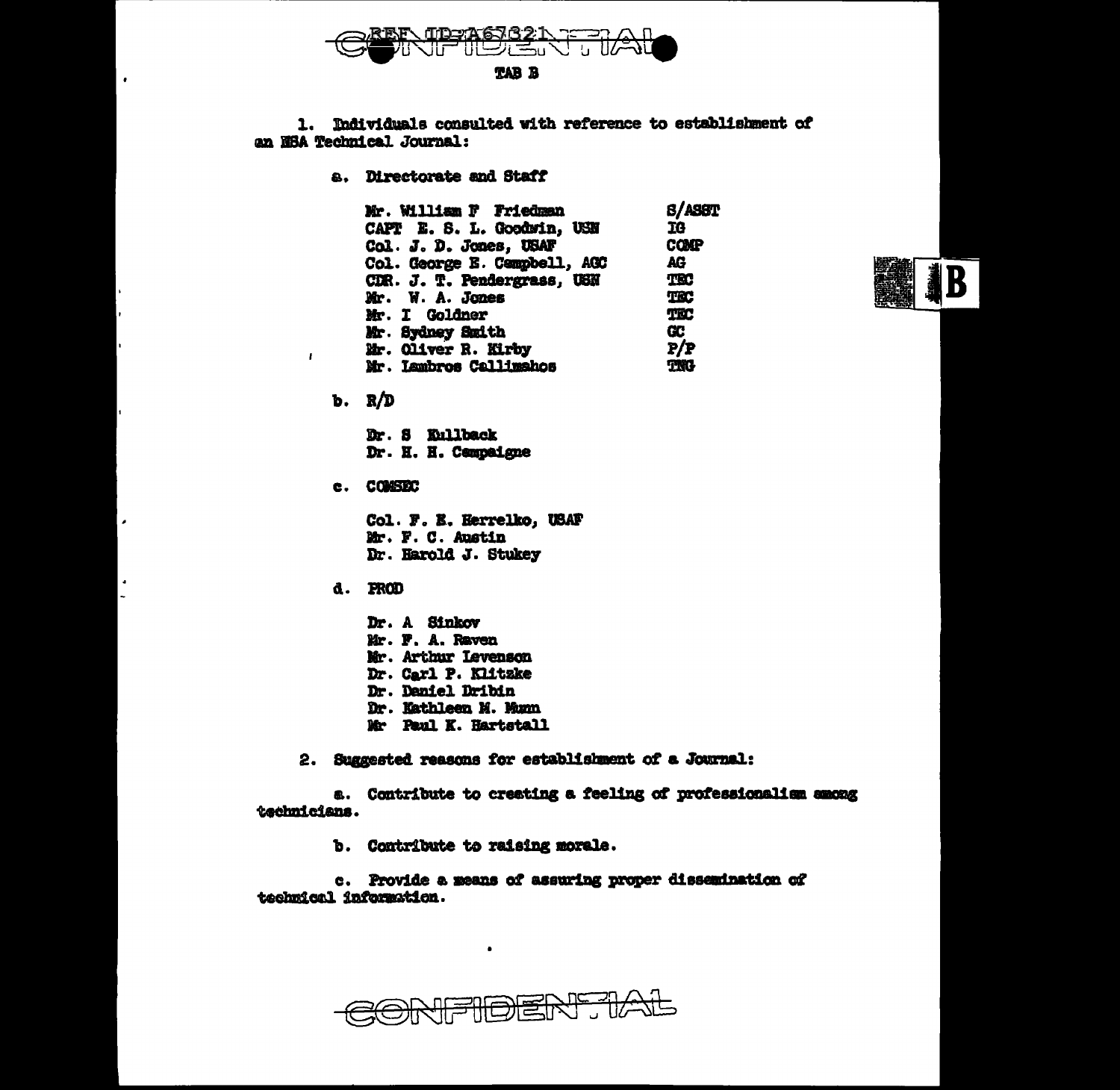

1. Individuals consulted with reference to establishment of an NSA Technical Journal:

a. Directorate and Staff

| Mr. William F Friedman       | <b>S/ASST</b> |
|------------------------------|---------------|
| CAPT E. S. L. Goodwin, USN   | 16            |
| Col. J. D. Jones, USAF       | COMP          |
| Col. George E. Campbell, AGC | AG            |
| CDR. J. T. Pendergrass, USN  | TRC           |
| Mr. W. A. Jones              | TEC           |
| Mr. I Goldner                | TEC           |
| Mr. Sydney Smith             | <b>CC</b>     |
| Mr. Oliver R. Kirby          | P/P           |
| Mr. Lambros Callimahos       | <b>TNG</b>    |



 $b. R/D$ 

 $\mathbf{I}$ 

Dr. S Kullback Dr. H. H. Campaigne

c. COMSEC

Col. F. E. Herrelko, USAF Mr. F. C. Austin Dr. Harold J. Stukey

d. PROD

Dr. A Sinkov Mr. F. A. Raven Mr. Arthur Levenson Dr. Carl P. Klitzke Dr. Daniel Dribin Dr. Kathleen M. Munn Mr Paul K. Hartstall

2. Suggested reasons for establishment of a Journal:

a. Contribute to creating a feeling of professionalism among technicians.

b. Contribute to raising morale.

c. Provide a means of assuring proper dissemination of technical information.

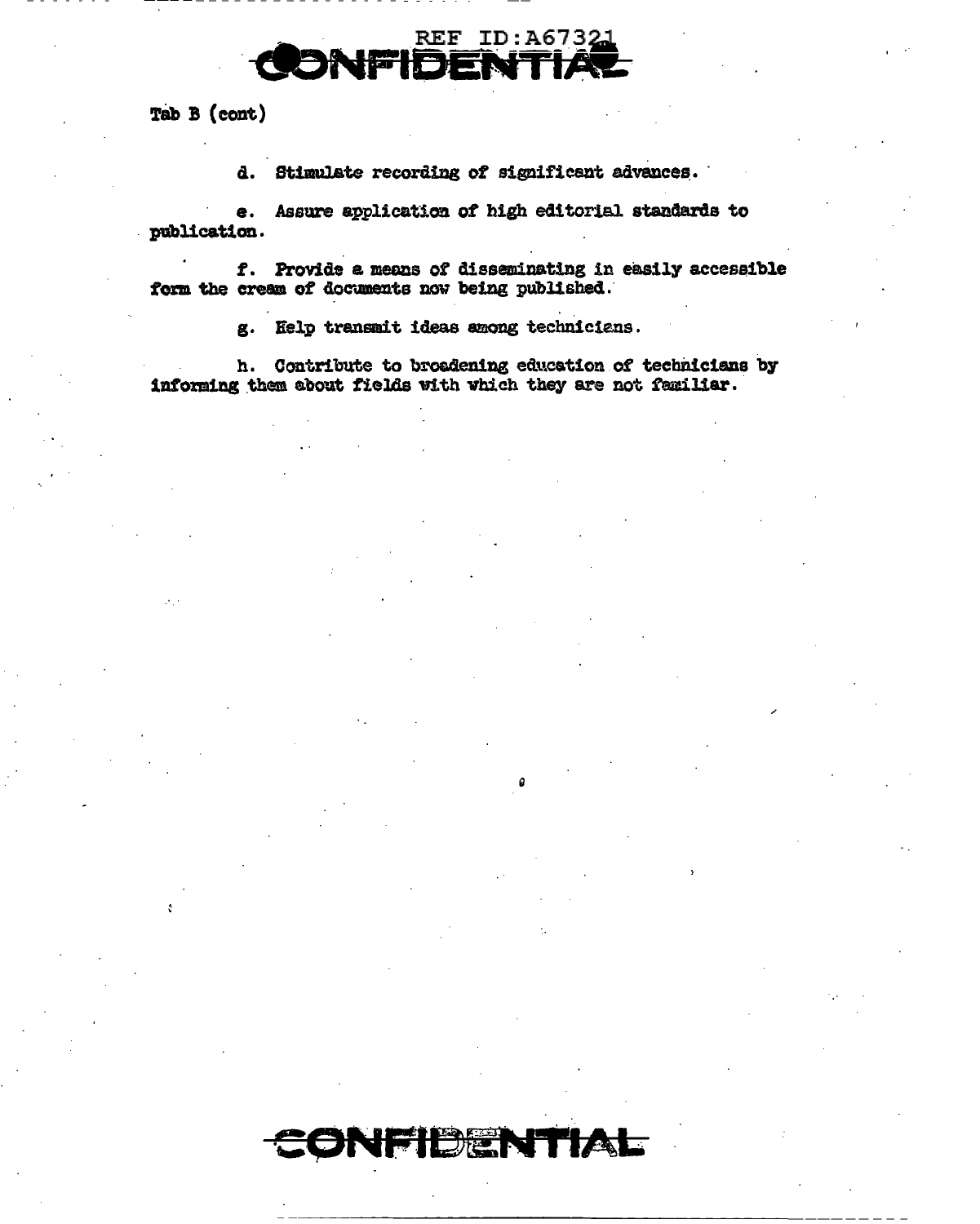

Tab B (cont)

d. Stimulate recording of significant advances.

e. Assure application of high editorial standards to publication. l.

f. Provide a means of disseminating in easily accessible form the cream of documents now being published.

g. Help transmit ideas among technicians.

ONFIDEN

**MAL** 

h. Contribute to broadening education of technicians by informing them about fields with which they are not familiar.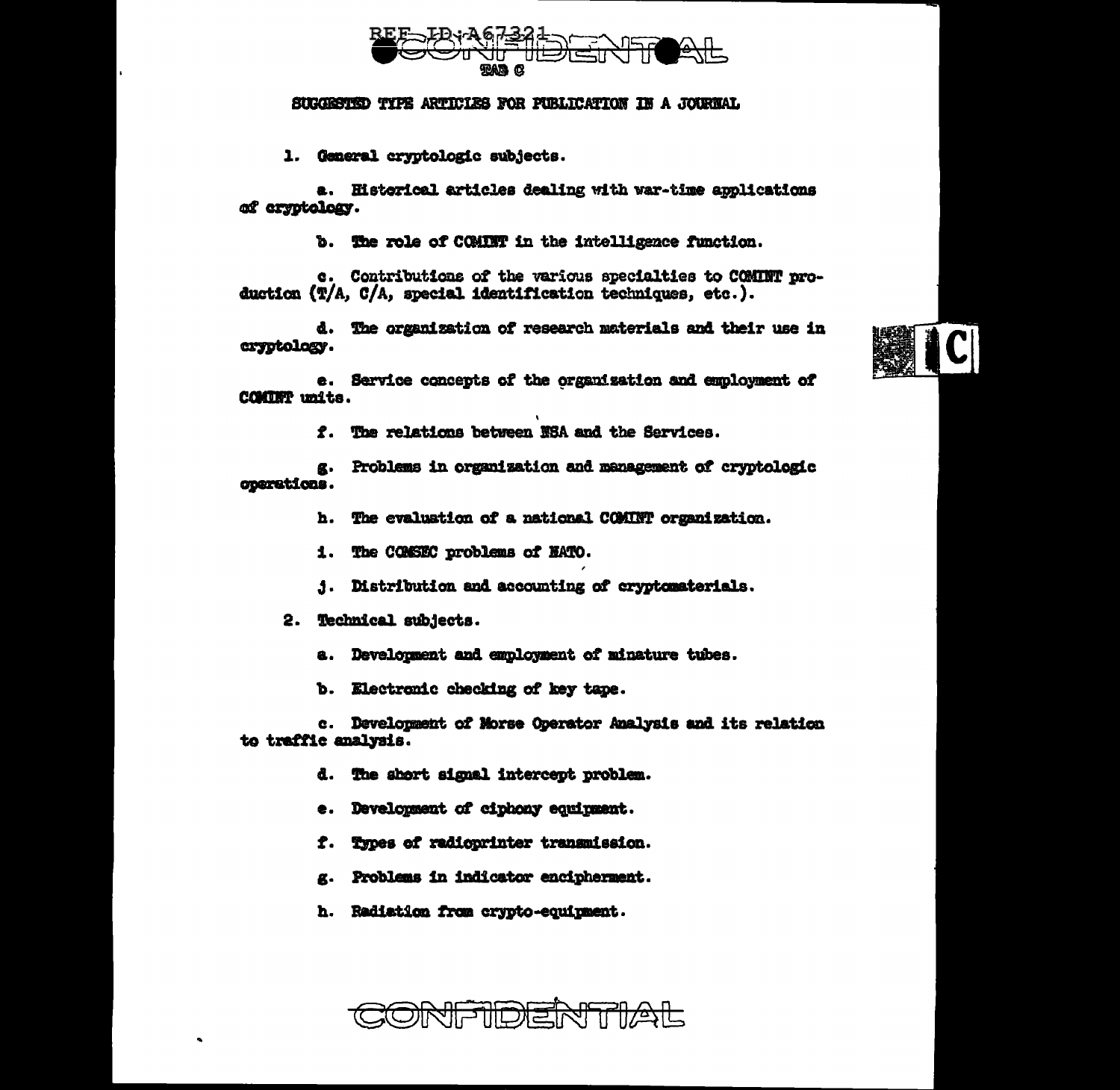

## SUGGESTED TYPE ARTICLES FOR PUBLICATION IN A JOURNAL

1. General cryptologic subjects.

a. Historical articles dealing with war-time applications of cryptology.

b. The role of COMINT in the intelligence function.

c. Contributions of the various specialties to COMINT production (T/A, C/A, special identification techniques, etc.).

d. The organization of research materials and their use in cryptology.



e. Service concepts of the organization and employment of COMINT units.

f. The relations between NSA and the Services.

g. Problems in organization and management of cryptologic coarations.

h. The evaluation of a national COMINT organization.

- 1. The COMSEC problems of HATO.
- 1. Distribution and accounting of cryptomaterials.
- 2. Technical subjects.
	- a. Develonment and employment of minature tubes.
	- b. Electronic checking of key tape.

c. Development of Morse Operator Analysis and its relation to traffic analysis.

- d. The short signal intercept problem.
- e. Development of ciphony equipment.
- f. Types of radioprinter transmission.
- g. Problems in indicator encipherment.
- h. Radiation from crypto-equinment.

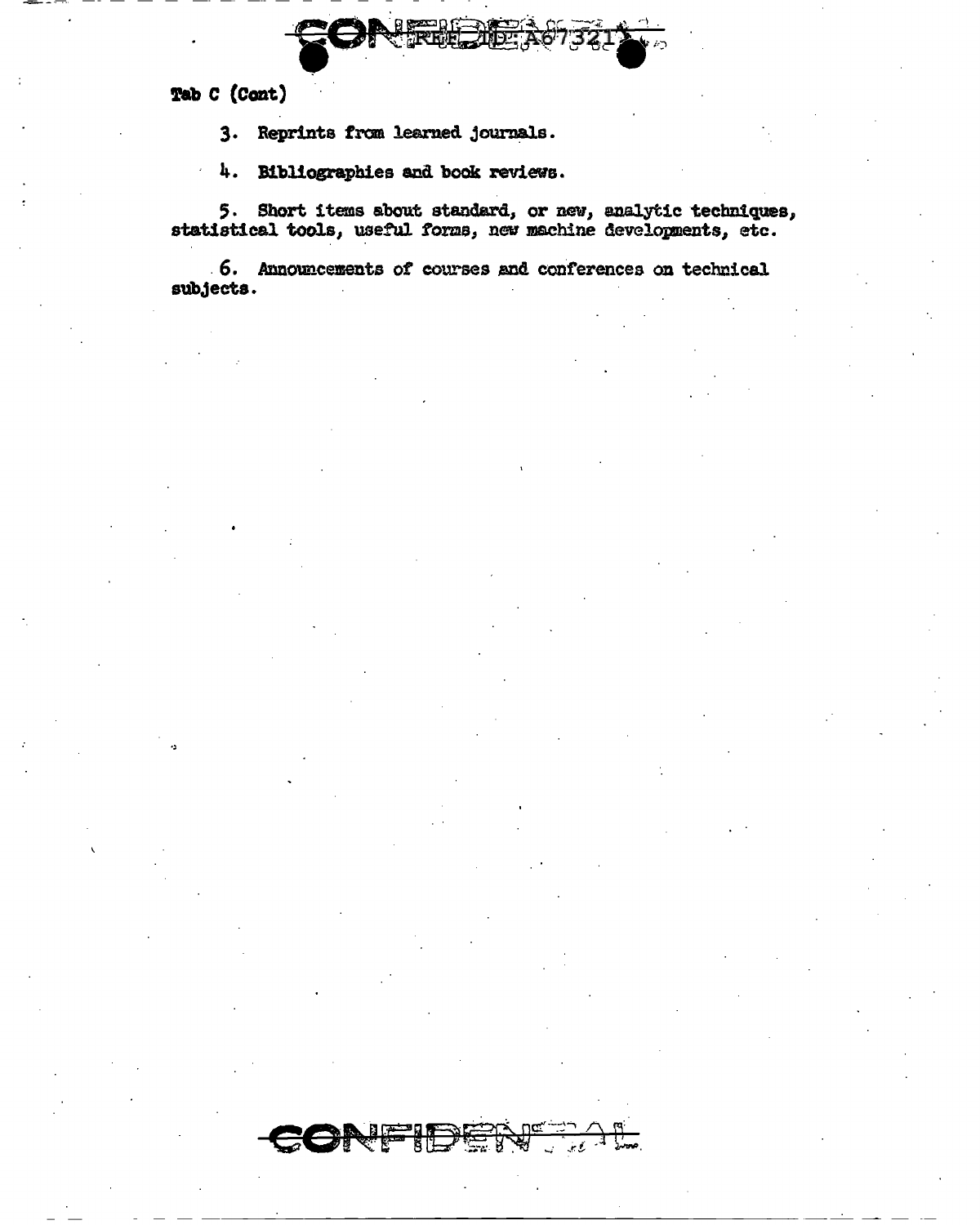Tab C (Cont)

3. Reprints from learned journals.

4. Bibliographies and book reviews.

5. Short items about standard, or new, analytic techniques, statistical tools, useful forms, new machine developments, etc.

6. Announcements of courses and conferences on technical subjects.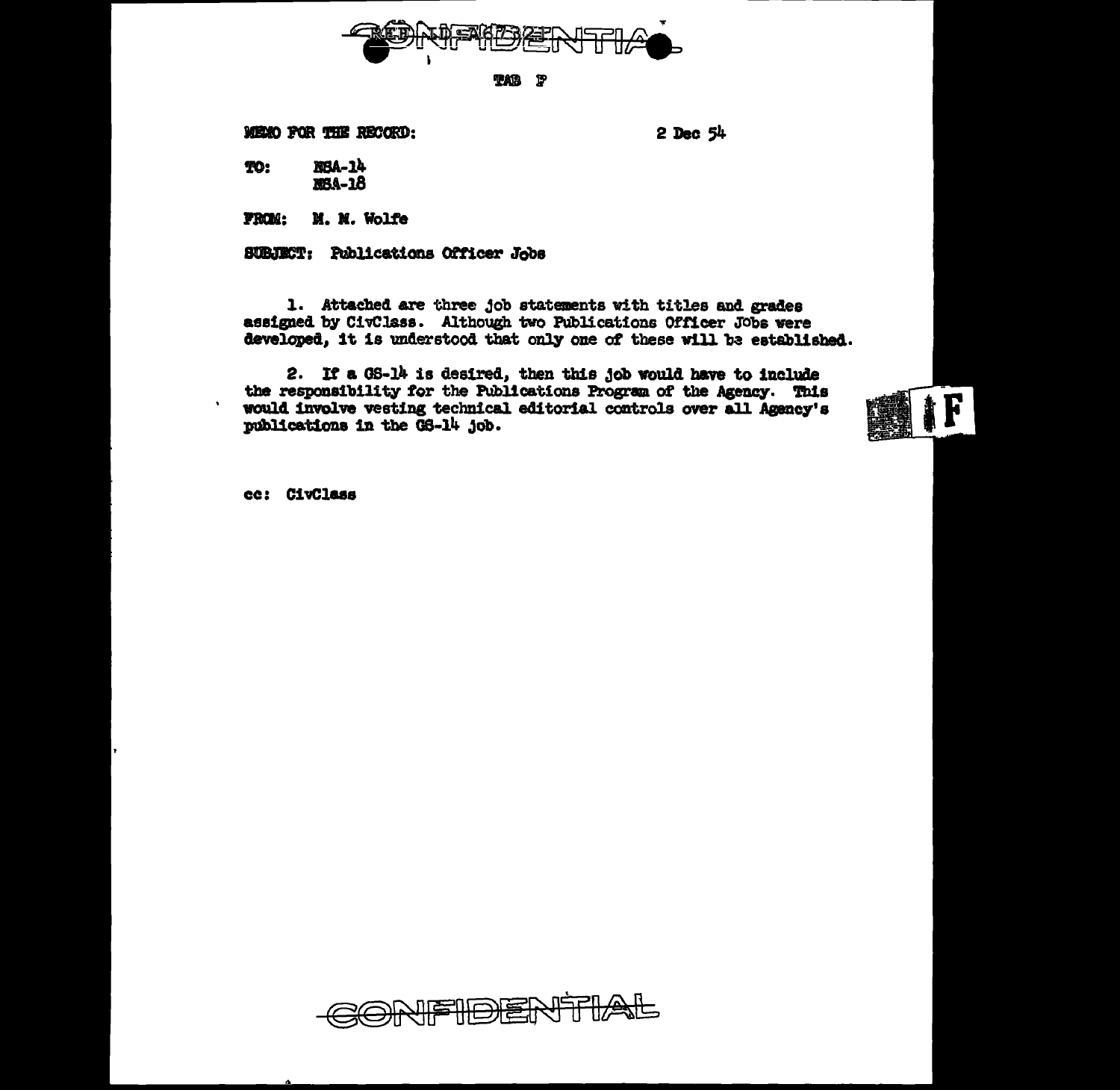

**TAB** P

MEMO FOR THE RECORD:

 $2$  Dec  $54$ 

NBA-14 TO: **MBA-18** 

M. M. Wolfe FROM:

SUBJECT: Publications Officer Jobs

1. Attached are three job statements with titles and grades assigned by CivClass. Although two Publications Officer Jobs were developed, it is understood that only one of these will be established.

2. If a GS-14 is desired, then this job would have to include the responsibility for the Publications Program of the Agency. This would involve vesting technical editorial controls over all Agency's publications in the GS-14 job.



cc: CivClass

 $\ddot{\phantom{a}}$ 

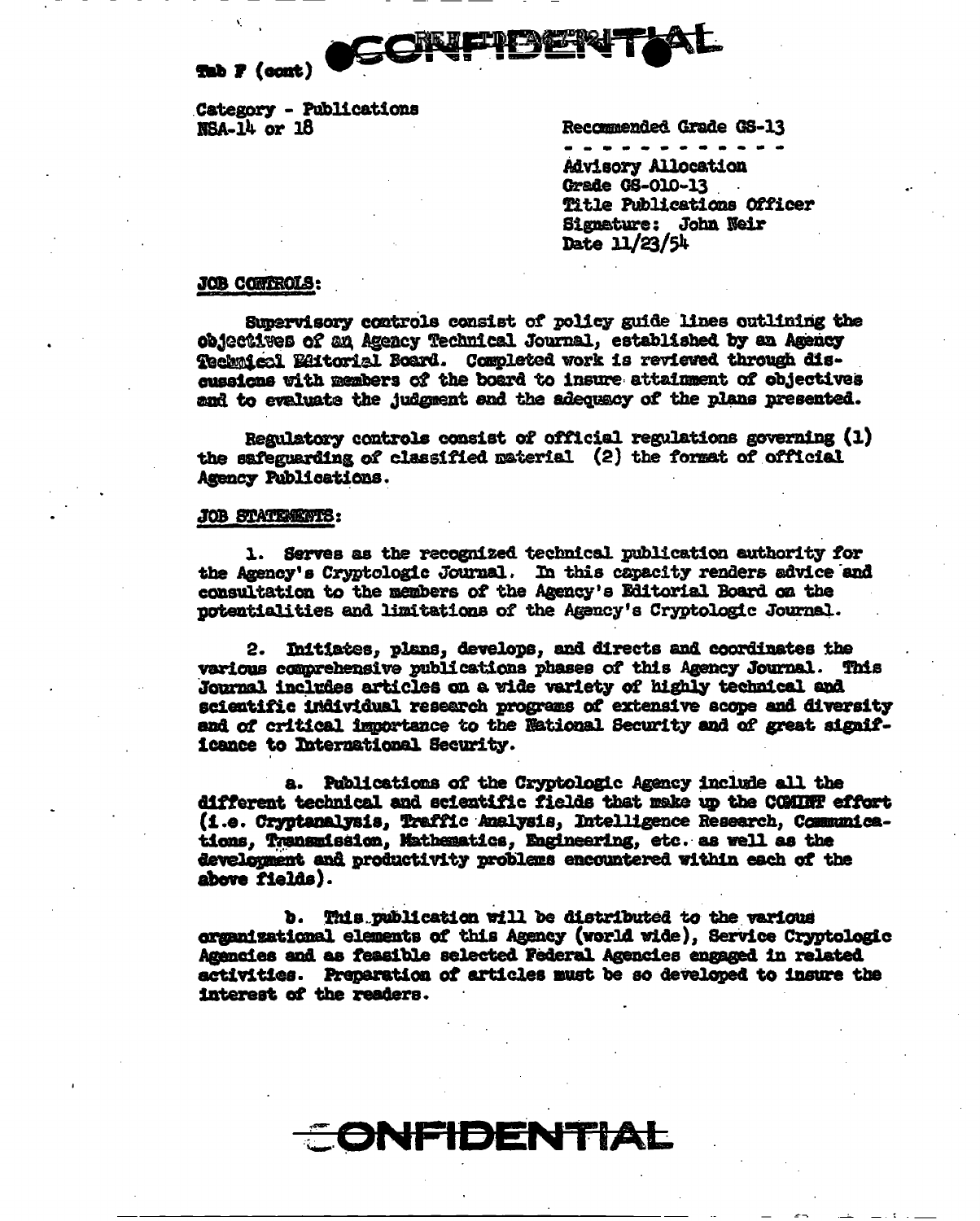

Tab F (cont)

Category - Publications  $MSA-14$  or  $18$ 

Recommended Grade GS-13

**Advisory Allocation** Grade GS-010-13 Title Publications Officer Signature: John Neir Date  $11/23/54$ 

#### **JOB CONTROLS:**

Supervisory controls consist of policy guide lines outlining the objectives of an Agency Technical Journal, established by an Agency Technical Editorial Board. Completed work is reviewed through discussions with members of the board to insure attainment of objectives and to evaluate the judgment and the adequacy of the plans presented.

Regulatory controls consist of official regulations governing (1) the safeguarding of classified material (2) the format of official Agency Publications.

#### JOB STATEMENTS:

1. Serves as the recognized technical publication euthority for the Agency's Cryptologic Journal. In this capacity renders advice and consultation to the members of the Agency's Editorial Board on the potentialities and limitations of the Agency's Cryptologic Journal.

2. Initiates, plans, develops, and directs and coordinates the various comprehensive publications phases of this Agency Journal. This Journal includes articles on a wide variety of highly technical and scientific individual research programs of extensive scope and diversity and of critical importance to the National Security and of great significance to International Security.

a. Publications of the Cryptologic Agency include all the different technical and scientific fields that make up the COMINT effort (i.e. Cryptanalysis, Traffic Analysis, Intelligence Research, Communications, Transmission, Mathematics, Engineering, etc. as well as the development and productivity problems encountered within each of the above fields).

b. This publication will be distributed to the various organizational elements of this Agency (world wide), Service Cryptologic Agencies and as feasible selected Federal Agencies engaged in related activities. Preparation of articles must be so developed to insure the interest of the readers.

<del>CONFIDENTIAL</del>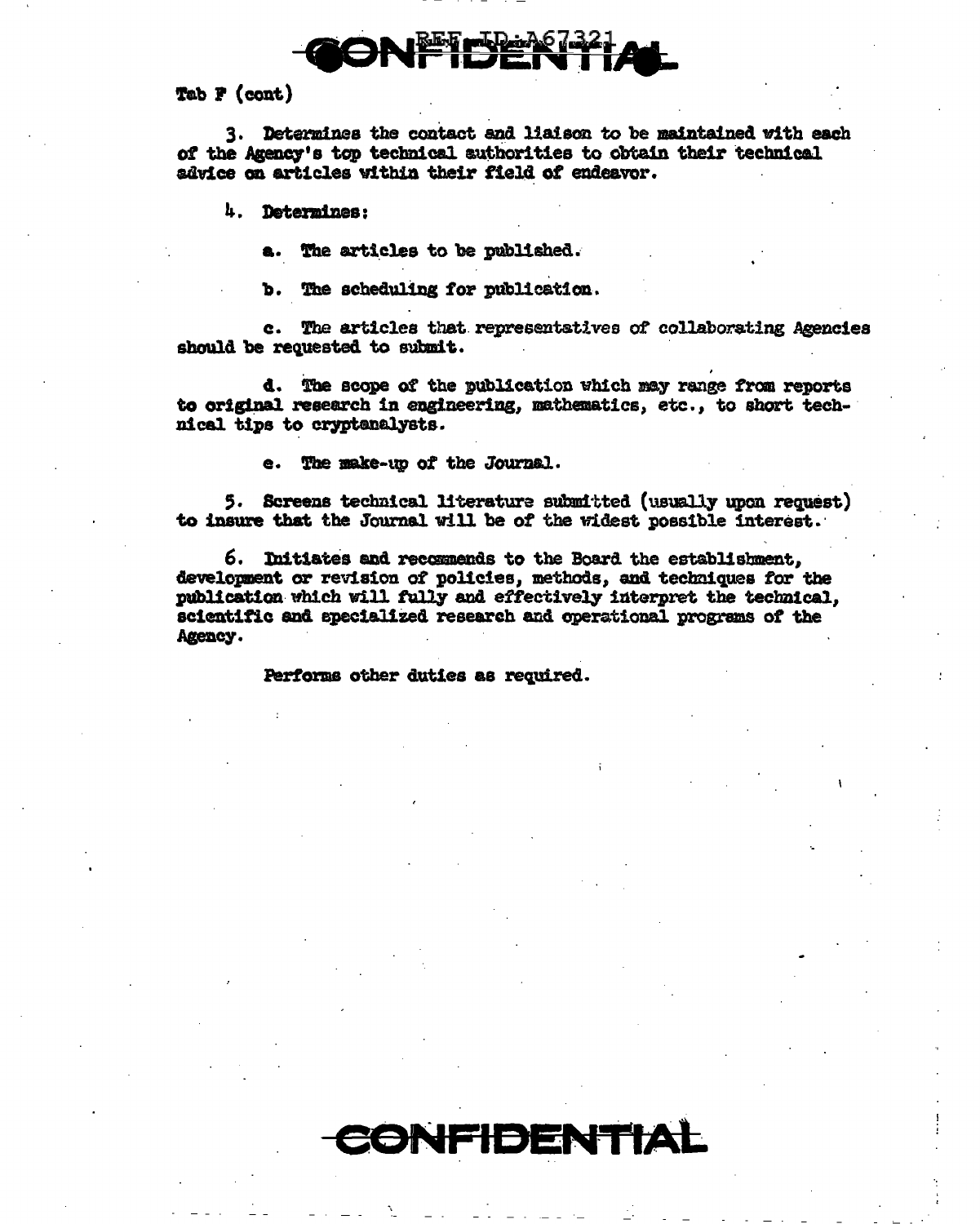

Tab P (cont)

3. Determines the contact and liaison to be maintained with each of the Agency's top technical authorities to obtain their technical advice on articles within their field of endeavor.

4. Determines:

The articles to be published.

The scheduling for publication. Ъ.

c. The articles that representatives of collaborating Agencies should be requested to submit.

d. The scope of the publication which may range from reports to original research in engineering, mathematics, etc., to short technical tips to cryptenalysts.

The make-up of the Journal.

5. Screens technical literature submitted (usually upon request) to insure that the Journal will be of the widest possible interest.

6. Initiates and recommends to the Board the establishment. development or revision of policies, methods, and techniques for the publication which will fully and effectively interpret the technical. scientific and specialized research and operational programs of the Agency.

CONFIDENTIAL

Performs other duties as required.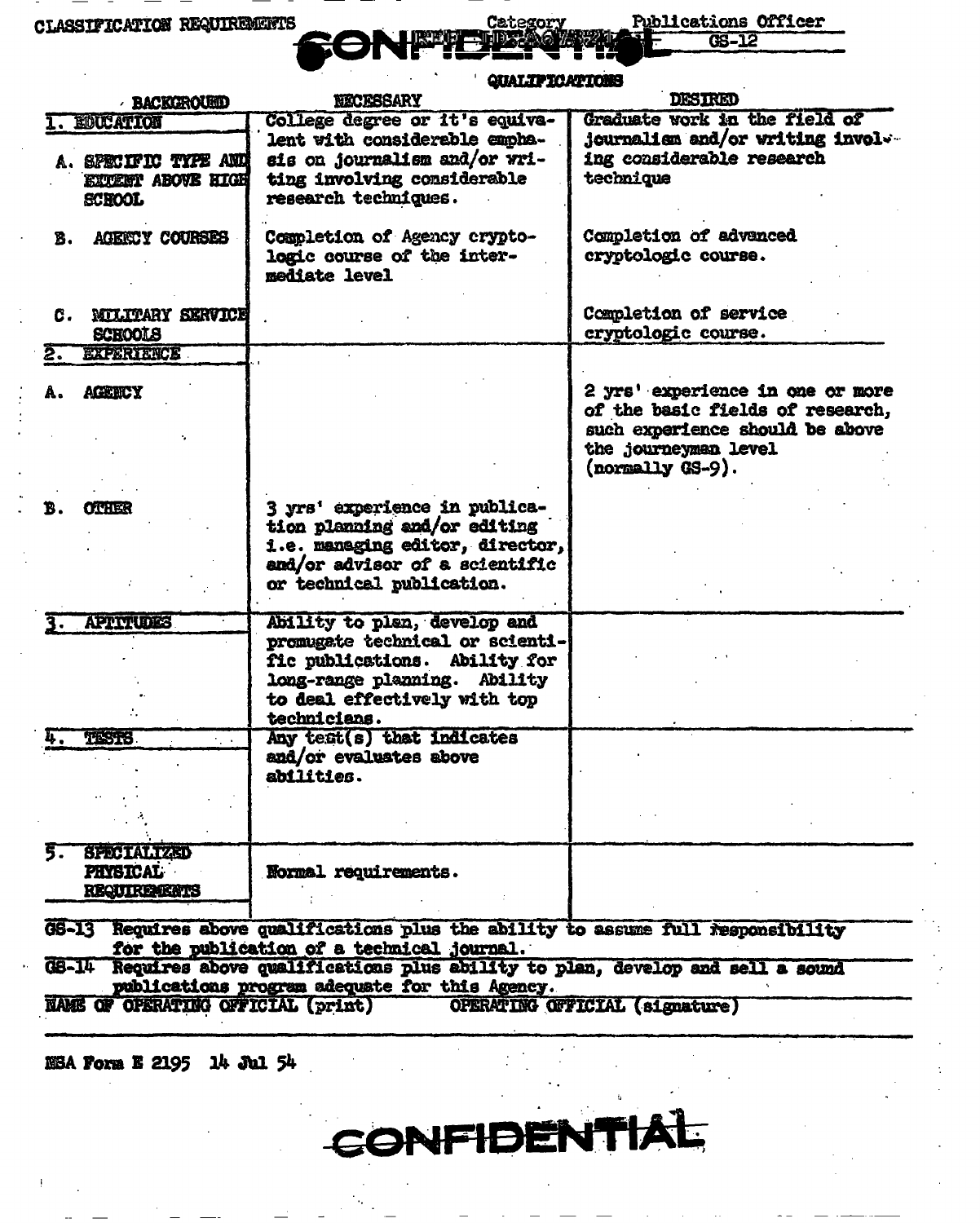**CLASSIFICATION REQUIREMENTS** 

Category

**Publications Officer** 

|                                                                                                                                      | <b>QUALIFICATIONS</b>                                                                                                                                                            |                                                                                                                                                     |
|--------------------------------------------------------------------------------------------------------------------------------------|----------------------------------------------------------------------------------------------------------------------------------------------------------------------------------|-----------------------------------------------------------------------------------------------------------------------------------------------------|
| <b>BACKOROUSED</b>                                                                                                                   | <b>NECESSARY</b>                                                                                                                                                                 | <b>DESIRED</b>                                                                                                                                      |
| EDUCATION                                                                                                                            | College degree or it's equiva-                                                                                                                                                   | Graduate work in the field of                                                                                                                       |
| A. SPECIFIC TYPE AND<br><b>EXTERT ABOVE HIGH</b><br><b>SCHOOL</b>                                                                    | lent with considerable empha-<br>sis on journalism and/or wri-<br>ting involving considerable<br>research techniques.                                                            | <b>journalism and/or writing involve</b><br>ing considerable research<br>technique                                                                  |
| <b>AGERCY COURSES</b><br>В.                                                                                                          | Completion of Agency crypto-<br>logic course of the inter-<br>mediate level                                                                                                      | Completion of advanced<br>cryptologic course.                                                                                                       |
| <b>NILITARY SERVICE</b><br>C.<br><b>SCHOOLS</b>                                                                                      |                                                                                                                                                                                  | Completion of service<br>cryptologic course.                                                                                                        |
| <b>EXPERIENCE</b><br><b>AGENCY</b>                                                                                                   |                                                                                                                                                                                  | 2 yrs' experience in one or more<br>of the basic fields of research,<br>such experience should be above<br>the journeymen level<br>(normally GS-9). |
| <b>OTHER</b><br>B.                                                                                                                   | 3 yrs' experience in publica-<br>tion planning and/or editing<br>i.e. managing editor, director,<br>and/or advisor of a scientific<br>or technical publication.                  |                                                                                                                                                     |
| <b>APTITUDES</b>                                                                                                                     | Ability to plan, develop and<br>promugate technical or scienti-<br>fic publications. Ability for<br>long-range planning. Ability<br>to deal effectively with top<br>technicians. |                                                                                                                                                     |
| <b>TESTS</b>                                                                                                                         | Any test(s) that indicates<br>and/or evaluates above<br>abilities.                                                                                                               |                                                                                                                                                     |
| <b>SPECIALIZED</b><br><b>PHYSICAL</b><br><b>REQUIREMENTS</b>                                                                         | Normal requirements.                                                                                                                                                             |                                                                                                                                                     |
| Requires above qualifications plus the ability to assume full responsibility<br>GS-13<br>for the publication of a technical journal. |                                                                                                                                                                                  |                                                                                                                                                     |
| GS-14 Requires above qualifications plus ability to plan, develop and sell a sound<br>publications program adequate for this Agency. |                                                                                                                                                                                  |                                                                                                                                                     |
| NAME OF OPERATING OFFICIAL (print)<br>OPERATING OFFICIAL (signature)                                                                 |                                                                                                                                                                                  |                                                                                                                                                     |

CONFIDENTIA

 $\overline{\mathbf{r}}$ 

NSA Form E 2195 14 Jul 54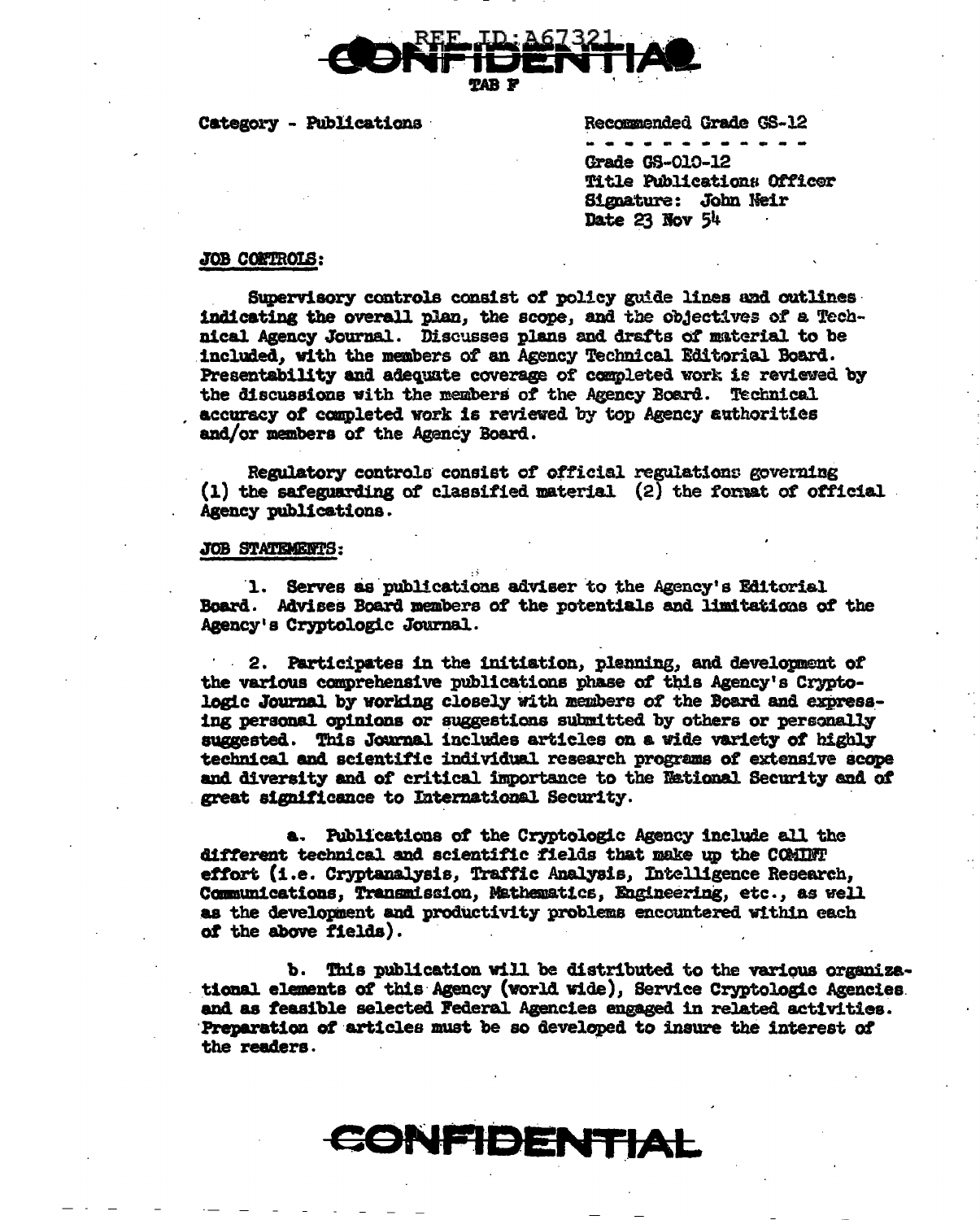

Category - Publications

Recommended Grade GS-12

Grade GS-010-12 Title Publications Officer Signature: John Neir Date 23 Nov 54

### JOB CONTROLS:

Supervisory controls consist of policy guide lines and outlines indicating the overall plan, the scope, and the objectives of a Technical Agency Journal. Discusses plans and drafts of material to be included, with the members of an Agency Technical Editorial Board. Presentability and adequate coverage of completed work is reviewed by the discussions with the members of the Agency Board. Technical accuracy of completed work is reviewed by top Agency authorities and/or members of the Agency Board.

Regulatory controls consist of official regulations governing  $(1)$  the safeguarding of classified material  $(2)$  the format of official Agency publications.

### JOB STATEMENTS:

1. Serves as publications adviser to the Agency's Editorial Board. Advises Board members of the potentials and limitations of the Agency's Cryptologic Journal.

2. Participates in the initiation, plenning, and development of the various comprehensive publications phase of this Agency's Cryptologic Journal by working closely with members of the Board and expressing personal opinions or suggestions submitted by others or personally suggested. This Journal includes articles on a wide variety of highly technical and scientific individual research programs of extensive scope and diversity and of critical importance to the National Security and of great significance to International Security.

a. Publications of the Cryptologic Agency include all the different technical and scientific fields that make up the COMINT effort (i.e. Cryptanalysis, Traffic Analysis, Intelligence Research, Communications, Transmission, Mathematics, Engineering, etc., as well as the development and productivity problems encountered within each of the above fields).

b. This publication will be distributed to the various organizational elements of this Agency (world wide), Service Cryptologic Agencies and as feasible selected Federal Agencies engaged in related activities. Preparation of articles must be so developed to insure the interest of the readers.

# CONFIDENTIAL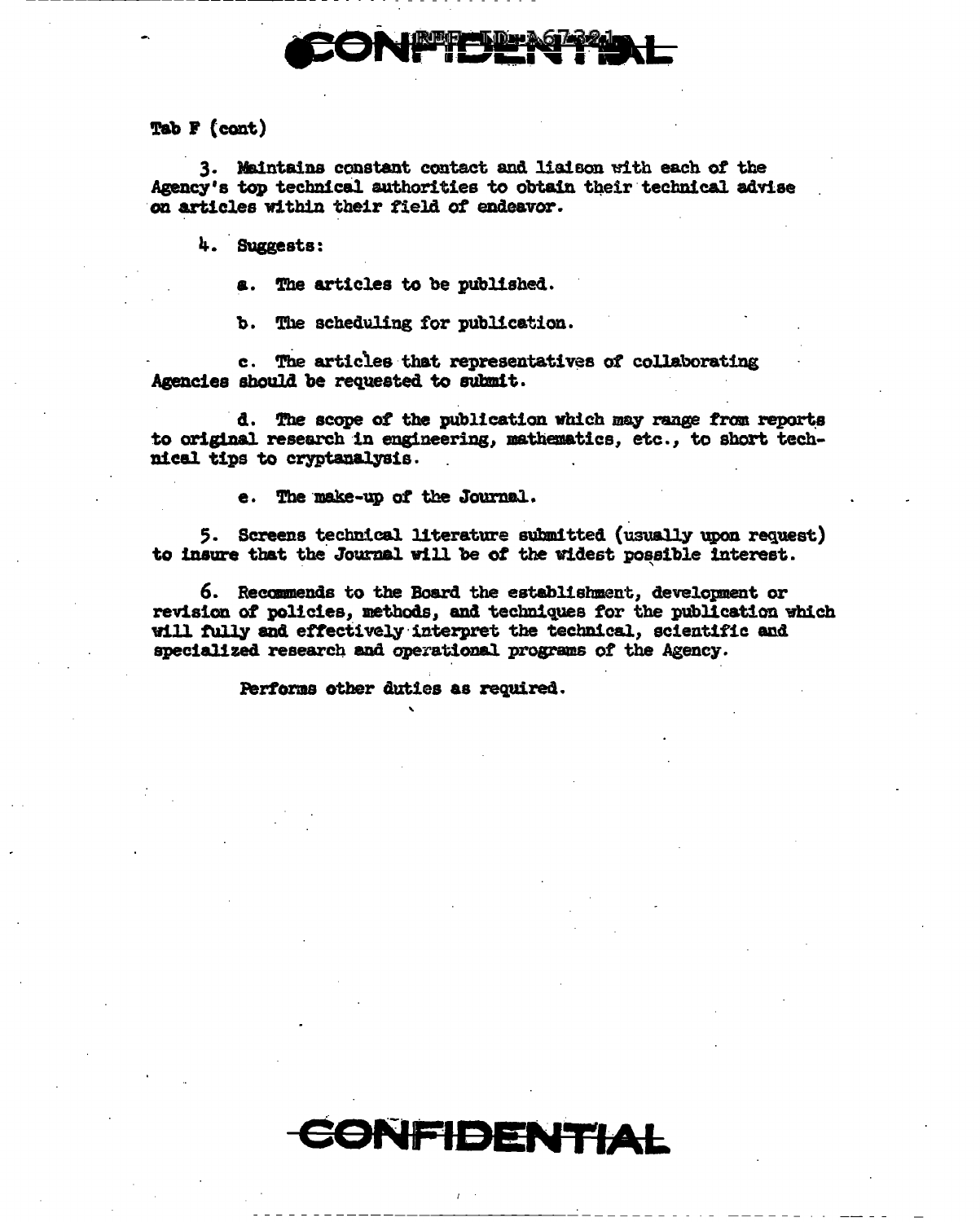Tab  $F$  (cont)

3. Maintains constant contact and liaison with each of the Agency's top technical authorities to obtain their technical advise on articles within their field of endeavor.

4. Suggests:

The articles to be published.

The scheduling for publication. b.

The articles that representatives of collaborating  $c_{\perp}$ Agencies should be requested to submit.

d. The scope of the publication which may range from reports to original research in engineering, mathematics, etc., to short technical tips to cryptanalysis.

The make-up of the Journal.

5. Screens technical literature submitted (usually upon request) to insure that the Journal will be of the widest possible interest.

6. Recommends to the Board the establishment, development or revision of policies, methods, and techniques for the publication which will fully and effectively interpret the technical, scientific and specialized research and operational programs of the Agency.

Performs other duties as required.

**EONFIDENTIAL**